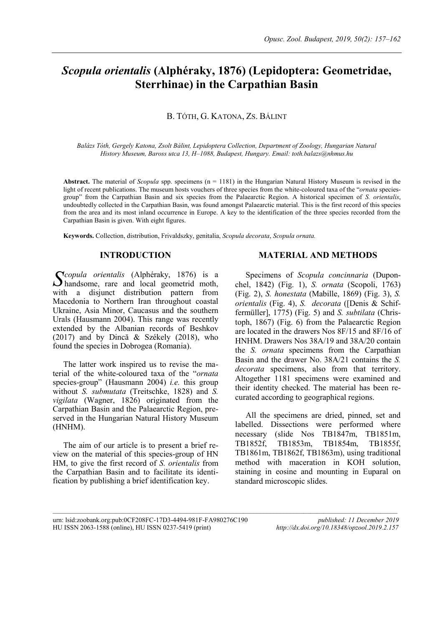# *Scopula orientalis* **(Alphéraky, 1876) (Lepidoptera: Geometridae, Sterrhinae) in the Carpathian Basin**

# B. TÓTH, G. KATONA, ZS. BÁLINT

*Balázs Tóth, Gergely Katona, Zsolt Bálint, Lepidoptera Collection, Department of Zoology, Hungarian Natural History Museum, Baross utca 13, H–1088, Budapest, Hungary. Email: toth.balazs@nhmus.hu*

**Abstract.** The material of *Scopula* spp. specimens (n = 1181) in the Hungarian Natural History Museum is revised in the light of recent publications. The museum hosts vouchers of three species from the white-coloured taxa of the "*ornata* speciesgroup" from the Carpathian Basin and six species from the Palaearctic Region. A historical specimen of *S. orientalis*, undoubtedly collected in the Carpathian Basin, was found amongst Palaearctic material. This is the first record of this species from the area and its most inland occurrence in Europe. A key to the identification of the three species recorded from the Carpathian Basin is given. With eight figures.

**Keywords.** Collection, distribution, Frivaldszky, genitalia, *Scopula decorata*, *Scopula ornata.*

## **INTRODUCTION**

*copula orientalis* (Alphéraky, 1876) is a Scopula orientalis (Alphéraky, 1876) is a handsome, rare and local geometrid moth, with a disjunct distribution pattern from Macedonia to Northern Iran throughout coastal Ukraine, Asia Minor, Caucasus and the southern Urals (Hausmann 2004). This range was recently extended by the Albanian records of Beshkov (2017) and by Dincă & Székely (2018), who found the species in Dobrogea (Romania).

The latter work inspired us to revise the material of the white-coloured taxa of the "*ornata* species-group" (Hausmann 2004) *i.e.* this group without *S. submutata* (Treitschke, 1828) and *S. vigilata* (Wagner, 1826) originated from the Carpathian Basin and the Palaearctic Region, preserved in the Hungarian Natural History Museum (HNHM).

The aim of our article is to present a brief review on the material of this species-group of HN HM, to give the first record of *S. orientalis* from the Carpathian Basin and to facilitate its identification by publishing a brief identification key.

## **MATERIAL AND METHODS**

Specimens of *Scopula concinnaria* (Duponchel, 1842) (Fig. 1), *S. ornata* (Scopoli, 1763) (Fig. 2), *S. honestata* (Mabille, 1869) (Fig. 3), *S. orientalis* (Fig. 4), *S. decorata* ([Denis & Schiffermüller], 1775) (Fig. 5) and *S. subtilata* (Christoph, 1867) (Fig. 6) from the Palaearctic Region are located in the drawers Nos 8F/15 and 8F/16 of HNHM. Drawers Nos 38A/19 and 38A/20 contain the *S. ornata* specimens from the Carpathian Basin and the drawer No. 38A/21 contains the *S. decorata* specimens, also from that territory. Altogether 1181 specimens were examined and their identity checked. The material has been recurated according to geographical regions.

All the specimens are dried, pinned, set and labelled. Dissections were performed where necessary (slide Nos TB1847m, TB1851m, TB1852f, TB1853m, TB1854m, TB1855f, TB1861m, TB1862f, TB1863m), using traditional method with maceration in KOH solution, staining in eosine and mounting in Euparal on standard microscopic slides.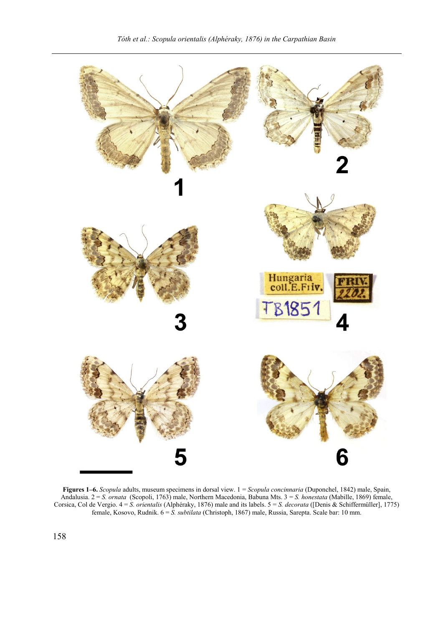

**Figures 1–6.** *Scopula* adults, museum specimens in dorsal view. 1 = *Scopula concinnaria* (Duponchel, 1842) male, Spain, Andalusia. 2 = *S. ornata* (Scopoli, 1763) male, Northern Macedonia, Babuna Mts. 3 = *S. honestata* (Mabille, 1869) female, Corsica, Col de Vergio. 4 = *S. orientalis* (Alphéraky, 1876) male and its labels. 5 = *S. decorata* ([Denis & Schiffermüller], 1775) female, Kosovo, Rudnik. 6 = *S. subtilata* (Christoph, 1867) male, Russia, Sarepta. Scale bar: 10 mm.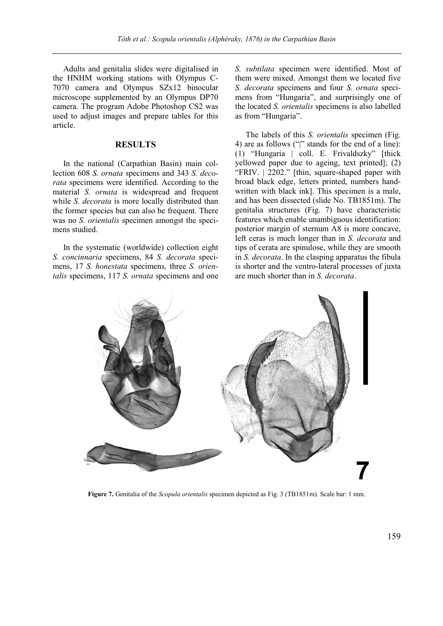Adults and genitalia slides were digitalised in the HNHM working stations with Olympus C-7070 camera and Olympus SZx12 binocular microscope supplemented by an Olympus DP70 camera. The program Adobe Photoshop CS2 was used to adjust images and prepare tables for this article.

#### **RESULTS**

In the national (Carpathian Basin) main collection 608 *S. ornata* specimens and 343 *S. decorata* specimens were identified. According to the material *S. ornata* is widespread and frequent while *S. decorata* is more locally distributed than the former species but can also be frequent. There was no *S. orientalis* specimen amongst the specimens studied.

In the systematic (worldwide) collection eight *S. concinnaria* specimens, 84 *S. decorata* specimens, 17 *S. honestata* specimens*,* three *S. orientalis* specimens, 117 *S. ornata* specimens and one *S. subtilata* specimen were identified. Most of them were mixed. Amongst them we located five *S. decorata* specimens and four *S. ornata* specimens from "Hungaria", and surprisingly one of the located *S. orientalis* specimens is also labelled as from "Hungaria".

The labels of this *S. orientalis* specimen (Fig. 4) are as follows ("|" stands for the end of a line): (1) "Hungaria | coll. E. Frivaldszky" [thick yellowed paper due to ageing, text printed]; (2) "FRIV. | 2202." [thin, square-shaped paper with broad black edge, letters printed, numbers handwritten with black ink]. This specimen is a male, and has been dissected (slide No. TB1851m). The genitalia structures (Fig. 7) have characteristic features which enable unambiguous identification: posterior margin of sternum A8 is more concave, left ceras is much longer than in *S. decorata* and tips of cerata are spinulose, while they are smooth in *S. decorata*. In the clasping apparatus the fibula is shorter and the ventro-lateral processes of juxta are much shorter than in *S. decorata*.



**Figure 7.** Genitalia of the *Scopula orientalis* specimen depicted as Fig. 3 (TB1851m). Scale bar: 1 mm.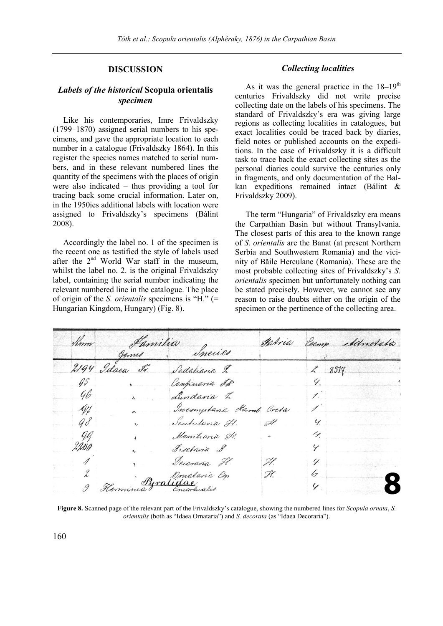# **DISCUSSION**

## *Labels of the historical* **Scopula orientalis** *specimen*

Like his contemporaries, Imre Frivaldszky (1799–1870) assigned serial numbers to his specimens, and gave the appropriate location to each number in a catalogue (Frivaldszky 1864). In this register the species names matched to serial numbers, and in these relevant numbered lines the quantity of the specimens with the places of origin were also indicated – thus providing a tool for tracing back some crucial information. Later on, in the 1950ies additional labels with location were assigned to Frivaldszky's specimens (Bálint 2008).

Accordingly the label no. 1 of the specimen is the recent one as testified the style of labels used after the  $2<sup>nd</sup>$  World War staff in the museum, whilst the label no. 2. is the original Frivaldszky label, containing the serial number indicating the relevant numbered line in the catalogue. The place of origin of the *S. orientalis* specimens is "H." (= Hungarian Kingdom, Hungary) (Fig. 8).

## *Collecting localities*

As it was the general practice in the  $18-19^{th}$ centuries Frivaldszky did not write precise collecting date on the labels of his specimens. The standard of Frivaldszky's era was giving large regions as collecting localities in catalogues, but exact localities could be traced back by diaries, field notes or published accounts on the expeditions. In the case of Frivaldszky it is a difficult task to trace back the exact collecting sites as the personal diaries could survive the centuries only in fragments, and only documentation of the Balkan expeditions remained intact (Bálint & Frivaldszky 2009).

The term "Hungaria" of Frivaldszky era means the Carpathian Basin but without Transylvania. The closest parts of this area to the known range of *S. orientalis* are the Banat (at present Northern Serbia and Southwestern Romania) and the vicinity of Băile Herculane (Romania). These are the most probable collecting sites of Frivaldszky's *S. orientalis* specimen but unfortunately nothing can be stated precisely. However, we cannot see any reason to raise doubts either on the origin of the specimen or the pertinence of the collecting area.

| Sim                       |                | m Jamilia Incurs          | Fabria              |                          | Esemp Adnotatio |
|---------------------------|----------------|---------------------------|---------------------|--------------------------|-----------------|
|                           |                |                           |                     |                          |                 |
|                           | 2194 Idaea Ir. | Sodaliana L               |                     |                          | 2517.           |
| $\mathscr{G}\mathscr{G}$  |                | Confinaria IR             |                     |                          | 9.1             |
| 96                        |                | Lundavia t                |                     | $\mathcal{I}^{\prime}$   |                 |
| yy                        |                | Incomptania Ramb Cresa    |                     | $\overline{\phantom{a}}$ |                 |
| 98                        |                | Seutulavia Il.            | Ĥ.                  | 4.1                      |                 |
| $\mathscr{G} \mathscr{G}$ |                | Momiliaria H.             | $\boldsymbol{\eta}$ | 4                        |                 |
| 4.IDO                     | $\mathbf{a}_i$ | Fischaria &               |                     | Y                        |                 |
|                           |                | Decoraria H.              | Ĥ.                  | Y.                       |                 |
|                           |                |                           | Ĥ.                  | 6.                       |                 |
|                           |                | 2 Therminia Pyralidae Con |                     | Y                        |                 |

**Figure 8.** Scanned page of the relevant part of the Frivaldszky's catalogue, showing the numbered lines for *Scopula ornata*, *S. orientalis* (both as "Idaea Ornataria") and *S. decorata* (as "Idaea Decoraria").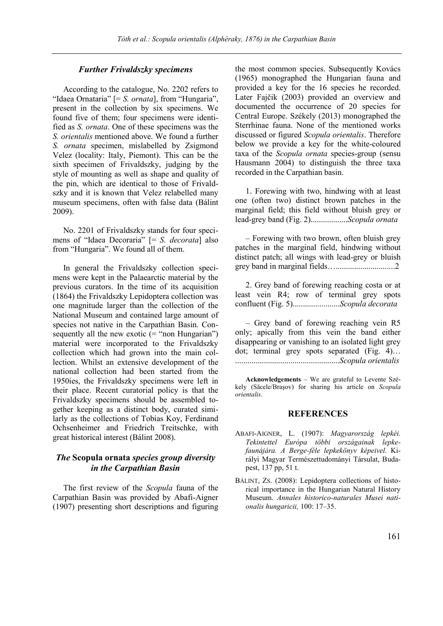#### *Further Frivaldszky specimens*

According to the catalogue, No. 2202 refers to "Idaea Ornataria" [= *S. ornata*], from "Hungaria", present in the collection by six specimens. We found five of them; four specimens were identified as *S. ornata*. One of these specimens was the *S. orientalis* mentioned above. We found a further *S. ornata* specimen, mislabelled by Zsigmond Velez (locality: Italy, Piemont). This can be the sixth specimen of Frivaldszky, judging by the style of mounting as well as shape and quality of the pin, which are identical to those of Frivaldszky and it is known that Velez relabelled many museum specimens, often with false data (Bálint 2009).

No. 2201 of Frivaldszky stands for four specimens of "Idaea Decoraria" [= *S. decorata*] also from "Hungaria". We found all of them.

In general the Frivaldszky collection specimens were kept in the Palaearctic material by the previous curators. In the time of its acquisition (1864) the Frivaldszky Lepidoptera collection was one magnitude larger than the collection of the National Museum and contained large amount of species not native in the Carpathian Basin. Consequently all the new exotic  $($  = "non Hungarian") material were incorporated to the Frivaldszky collection which had grown into the main collection. Whilst an extensive development of the national collection had been started from the 1950ies, the Frivaldszky specimens were left in their place. Recent curatorial policy is that the Frivaldszky specimens should be assembled together keeping as a distinct body, curated similarly as the collections of Tobias Koy, Ferdinand Ochsenheimer and Friedrich Treitschke, with great historical interest (Bálint 2008).

# *The* **Scopula ornata** *species group diversity in the Carpathian Basin*

The first review of the *Scopula* fauna of the Carpathian Basin was provided by Abafi-Aigner (1907) presenting short descriptions and figuring the most common species. Subsequently Kovács (1965) monographed the Hungarian fauna and provided a key for the 16 species he recorded. Later Fajčik (2003) provided an overview and documented the occurrence of 20 species for Central Europe. Székely (2013) monographed the Sterrhinae fauna. None of the mentioned works discussed or figured *Scopula orientalis*. Therefore below we provide a key for the white-coloured taxa of the *Scopula ornata* species-group (sensu Hausmann 2004) to distinguish the three taxa recorded in the Carpathian basin.

1. Forewing with two, hindwing with at least one (often two) distinct brown patches in the marginal field; this field without bluish grey or lead-grey band (Fig. 2)..................*Scopula ornata*

– Forewing with two brown, often bluish grey patches in the marginal field, hindwing without distinct patch; all wings with lead-grey or bluish grey band in marginal fields….............................2

2. Grey band of forewing reaching costa or at least vein R4; row of terminal grey spots confluent (Fig. 5).......................*Scopula decorata*

– Grey band of forewing reaching vein R5 only; apically from this vein the band either disappearing or vanishing to an isolated light grey dot; terminal grey spots separated (Fig. 4)… ...................................................*Scopula orientalis*

**Acknowledgements** – We are grateful to Levente Székely (Săcele/Braşov) for sharing his article on *Scopula orientalis*.

# **REFERENCES**

- ABAFI-AIGNER, L. (1907): *Magyarország lepkéi. Tekintettel Európa többi országainak lepkefaunájára. A Berge-féle lepkekönyv képeivel.* Királyi Magyar Természettudományi Társulat, Budapest, 137 pp, 51 t.
- BÁLINT, ZS. (2008): Lepidoptera collections of historical importance in the Hungarian Natural History Museum. *Annales historico-naturales Musei nationalis hungaricii,* 100: 17–35.